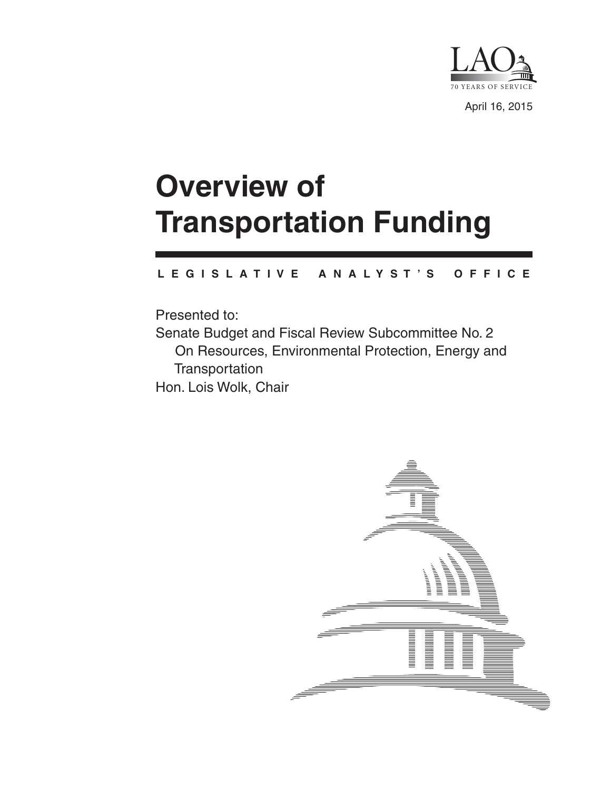

April 16, 2015

# **Overview of Transportation Funding**

#### **L E G I S L A T I V E A N A L Y S T ' S O F F I C E**

Presented to: Senate Budget and Fiscal Review Subcommittee No. 2 On Resources, Environmental Protection, Energy and **Transportation** Hon. Lois Wolk, Chair

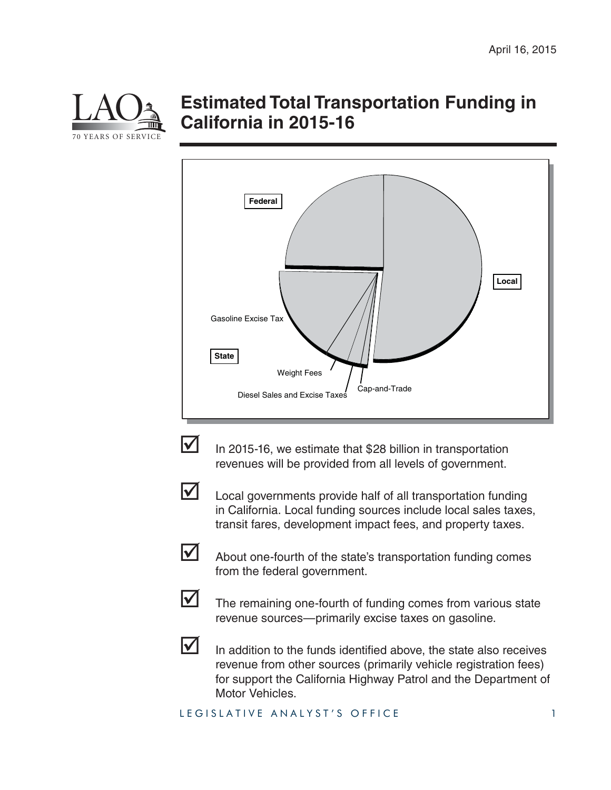

## **Estimated Total Transportation Funding in California in 2015-16**





 $\triangledown$  In 2015-16, we estimate that \$28 billion in transportation revenues will be provided from all levels of government.



Local governments provide half of all transportation funding in California. Local funding sources include local sales taxes, transit fares, development impact fees, and property taxes.



 $\triangleright$  About one-fourth of the state's transportation funding comes from the federal government.



 $\blacksquare$  The remaining one-fourth of funding comes from various state revenue sources—primarily excise taxes on gasoline.



 $\triangleright$  In addition to the funds identified above, the state also receives revenue from other sources (primarily vehicle registration fees) for support the California Highway Patrol and the Department of Motor Vehicles.

LEGISLATIVE ANALYST'S OFFICE 1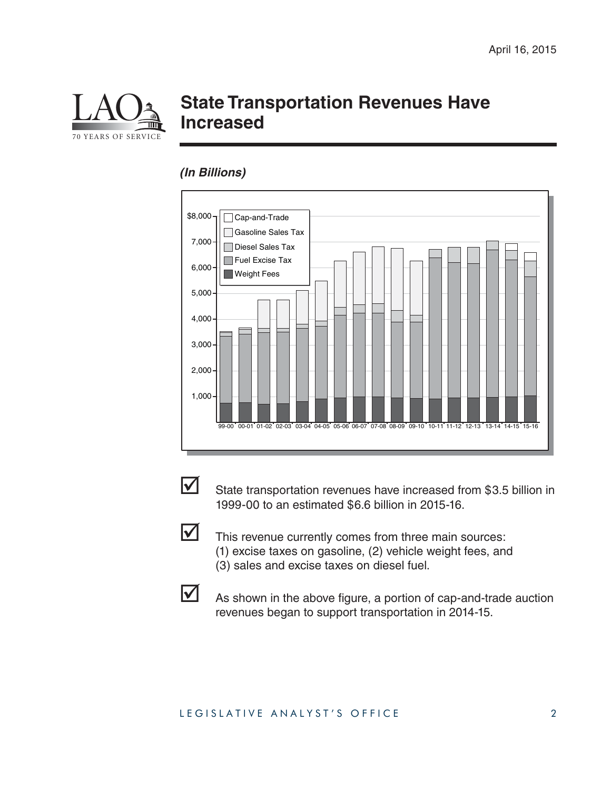

## **State Transportation Revenues Have Increased**

### *(In Billions)*





 $\triangledown$  State transportation revenues have increased from \$3.5 billion in 1999-00 to an estimated \$6.6 billion in 2015-16.



This revenue currently comes from three main sources: (1) excise taxes on gasoline, (2) vehicle weight fees, and (3) sales and excise taxes on diesel fuel.



 $\triangleright$  As shown in the above figure, a portion of cap-and-trade auction revenues began to support transportation in 2014-15.